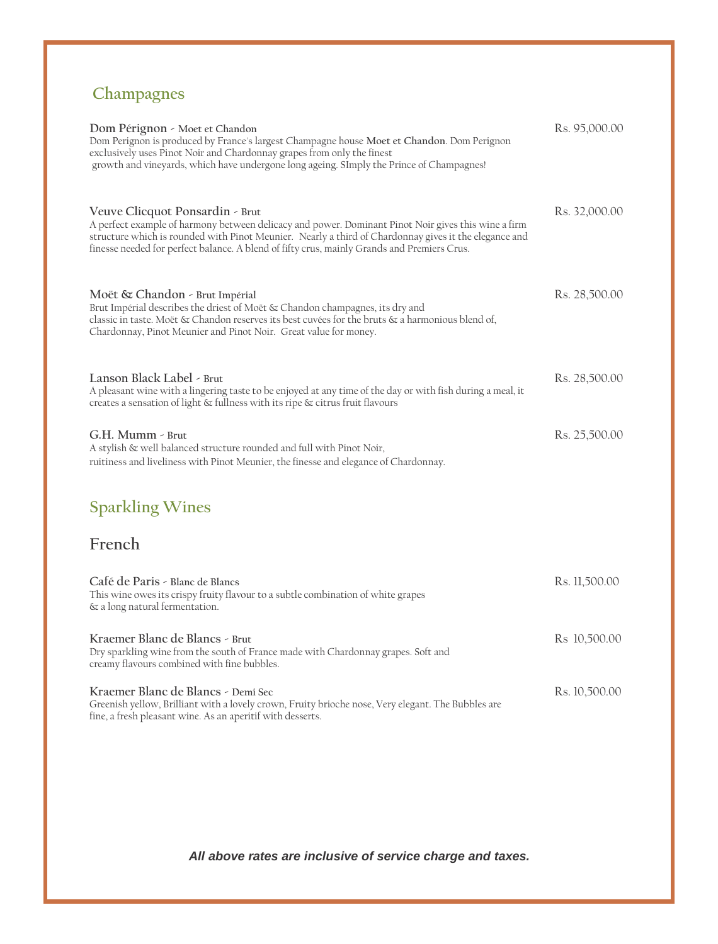# **Champagnes**

| Dom Pérignon - Moet et Chandon<br>Dom Perignon is produced by France's largest Champagne house Moet et Chandon. Dom Perignon<br>exclusively uses Pinot Noir and Chardonnay grapes from only the finest<br>growth and vineyards, which have undergone long ageing. SImply the Prince of Champagnes!                                             | Rs. 95,000.00 |
|------------------------------------------------------------------------------------------------------------------------------------------------------------------------------------------------------------------------------------------------------------------------------------------------------------------------------------------------|---------------|
| Veuve Clicquot Ponsardin - Brut<br>A perfect example of harmony between delicacy and power. Dominant Pinot Noir gives this wine a firm<br>structure which is rounded with Pinot Meunier. Nearly a third of Chardonnay gives it the elegance and<br>finesse needed for perfect balance. A blend of fifty crus, mainly Grands and Premiers Crus. | Rs. 32,000.00 |
| Moët & Chandon - Brut Impérial<br>Brut Impérial describes the driest of Moët & Chandon champagnes, its dry and<br>classic in taste. Moët & Chandon reserves its best cuvées for the bruts & a harmonious blend of,<br>Chardonnay, Pinot Meunier and Pinot Noir. Great value for money.                                                         | Rs. 28,500.00 |
| Lanson Black Label - Brut<br>A pleasant wine with a lingering taste to be enjoyed at any time of the day or with fish during a meal, it<br>creates a sensation of light & fullness with its ripe & citrus fruit flavours                                                                                                                       | Rs. 28,500.00 |
| G.H. Mumm - Brut<br>A stylish & well balanced structure rounded and full with Pinot Noir,<br>ruitiness and liveliness with Pinot Meunier, the finesse and elegance of Chardonnay.                                                                                                                                                              | Rs. 25,500.00 |
| <b>Sparkling Wines</b>                                                                                                                                                                                                                                                                                                                         |               |
| French                                                                                                                                                                                                                                                                                                                                         |               |
| Café de Paris - Blanc de Blancs<br>This wine owes its crispy fruity flavour to a subtle combination of white grapes<br>& a long natural fermentation.                                                                                                                                                                                          | Rs. 11,500.00 |
| Kraemer Blanc de Blancs - Brut<br>Dry sparkling wine from the south of France made with Chardonnay grapes. Soft and<br>creamy flavours combined with fine bubbles.                                                                                                                                                                             | Rs 10,500.00  |
| Kraemer Blanc de Blancs - Demi Sec<br>Greenish yellow, Brilliant with a lovely crown, Fruity brioche nose, Very elegant. The Bubbles are<br>fine, a fresh pleasant wine. As an aperitif with desserts.                                                                                                                                         | Rs. 10,500.00 |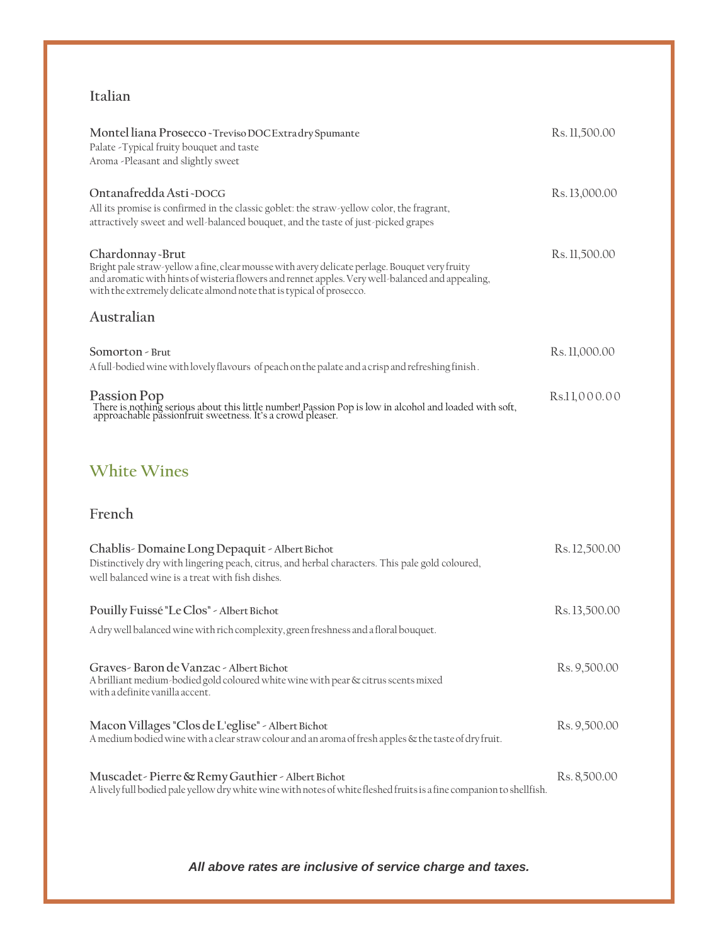#### **Italian**

| Montel liana Prosecco~Treviso DOC Extra dry Spumante<br>Palate - Typical fruity bouquet and taste<br>Aroma -Pleasant and slightly sweet                                                                                                                                                       | Rs. 11,500.00 |
|-----------------------------------------------------------------------------------------------------------------------------------------------------------------------------------------------------------------------------------------------------------------------------------------------|---------------|
| Ontanafredda Asti~DOCG<br>All its promise is confirmed in the classic goblet: the straw-yellow color, the fragrant,<br>attractively sweet and well-balanced bouquet, and the taste of just-picked grapes                                                                                      | Rs. 13,000.00 |
| Chardonnay-Brut<br>Bright pale straw-yellow a fine, clear mousse with avery delicate perlage. Bouquet very fruity<br>and aromatic with hints of wisteria flowers and rennet apples. Very well-balanced and appealing,<br>with the extremely delicate almond note that is typical of prosecco. | Rs. 11,500.00 |
| Australian                                                                                                                                                                                                                                                                                    |               |
| Somorton - Brut<br>A full-bodied wine with lovely flavours of peach on the palate and a crisp and refreshing finish.                                                                                                                                                                          | Rs. 11,000.00 |
| Passion Pop<br>There is nothing serious about this little number! Passion Pop is low in alcohol and loaded with soft, approachable passionfruit sweetness. It's a crowd pleaser.                                                                                                              | Rs.11,000.00  |
| <b>White Wines</b>                                                                                                                                                                                                                                                                            |               |
| French                                                                                                                                                                                                                                                                                        |               |
| Chablis - Domaine Long Depaquit - Albert Bichot<br>Distinctively dry with lingering peach, citrus, and herbal characters. This pale gold coloured,<br>well balanced wine is a treat with fish dishes.                                                                                         | Rs. 12,500.00 |
| Pouilly Fuissé "Le Clos" - Albert Bichot                                                                                                                                                                                                                                                      | Rs. 13,500.00 |
| A dry well balanced wine with rich complexity, green freshness and a floral bouquet.                                                                                                                                                                                                          |               |
| Graves - Baron de Vanzac - Albert Bichot<br>A brilliant medium-bodied gold coloured white wine with pear & citrus scents mixed<br>with a definite vanilla accent.                                                                                                                             | Rs. 9,500.00  |
| Macon Villages "Clos de L'eglise" - Albert Bichot<br>A medium bodied wine with a clear straw colour and an aroma of fresh apples & the taste of dry fruit.                                                                                                                                    | Rs. 9,500.00  |

**Muscadet-Pierre&RemyGauthier-AlbertBichot** Rs. 8,500.00 Alivelyfull bodied pale yellowdrywhitewinewithnotes ofwhite fleshed fruitsis a fine companionto shellfish.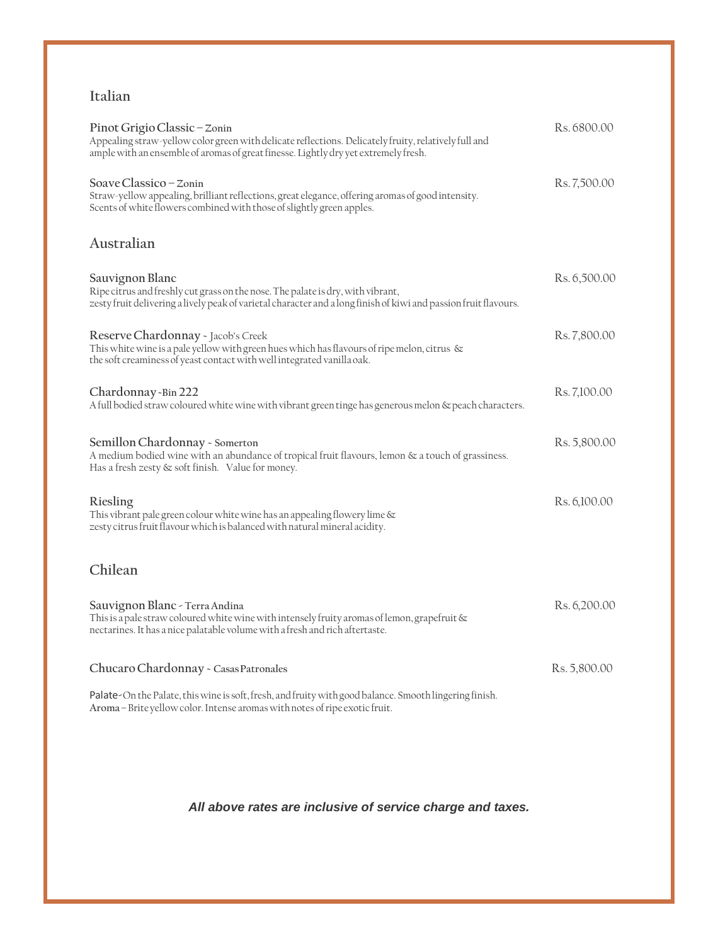#### **Italian**

| Pinot Grigio Classic - Zonin<br>Appealing straw-yellow color green with delicate reflections. Delicately fruity, relatively full and<br>ample with an ensemble of aromas of great finesse. Lightly dry yet extremely fresh. | Rs. 6800.00  |
|-----------------------------------------------------------------------------------------------------------------------------------------------------------------------------------------------------------------------------|--------------|
| Soave Classico – Zonin<br>Straw-yellow appealing, brilliant reflections, great elegance, offering aromas of good intensity.<br>Scents of white flowers combined with those of slightly green apples.                        | Rs. 7,500.00 |
| Australian                                                                                                                                                                                                                  |              |
| Sauvignon Blanc<br>Ripe citrus and freshly cut grass on the nose. The palate is dry, with vibrant,<br>zesty fruit delivering a lively peak of varietal character and a long finish of kiwi and passion fruit flavours.      | Rs. 6,500.00 |
| Reserve Chardonnay - Jacob's Creek<br>This white wine is a pale yellow with green hues which has flavours of ripe melon, citrus $\infty$<br>the soft creaminess of yeast contact with well integrated vanilla oak.          | Rs. 7,800.00 |
| Chardonnay - Bin 222<br>A full bodied straw coloured white wine with vibrant green tinge has generous melon & peach characters.                                                                                             | Rs. 7,100.00 |
| Semillon Chardonnay - Somerton<br>A medium bodied wine with an abundance of tropical fruit flavours, lemon & a touch of grassiness.<br>Has a fresh zesty & soft finish. Value for money.                                    | Rs. 5,800.00 |
| Riesling<br>This vibrant pale green colour white wine has an appealing flowery lime &<br>zesty citrus fruit flavour which is balanced with natural mineral acidity.                                                         | Rs. 6,100.00 |
| Chilean                                                                                                                                                                                                                     |              |
| Sauvignon Blanc - Terra Andina<br>This is a pale straw coloured white wine with intensely fruity aromas of lemon, grapefruit &<br>nectarines. It has a nice palatable volume with a fresh and rich aftertaste.              | Rs. 6,200.00 |
| Chucaro Chardonnay - Casas Patronales                                                                                                                                                                                       | Rs. 5,800.00 |
| Palate-On the Palate, this wine is soft, fresh, and fruity with good balance. Smooth lingering finish.<br>Aroma - Brite yellow color. Intense aromas with notes of ripe exotic fruit.                                       |              |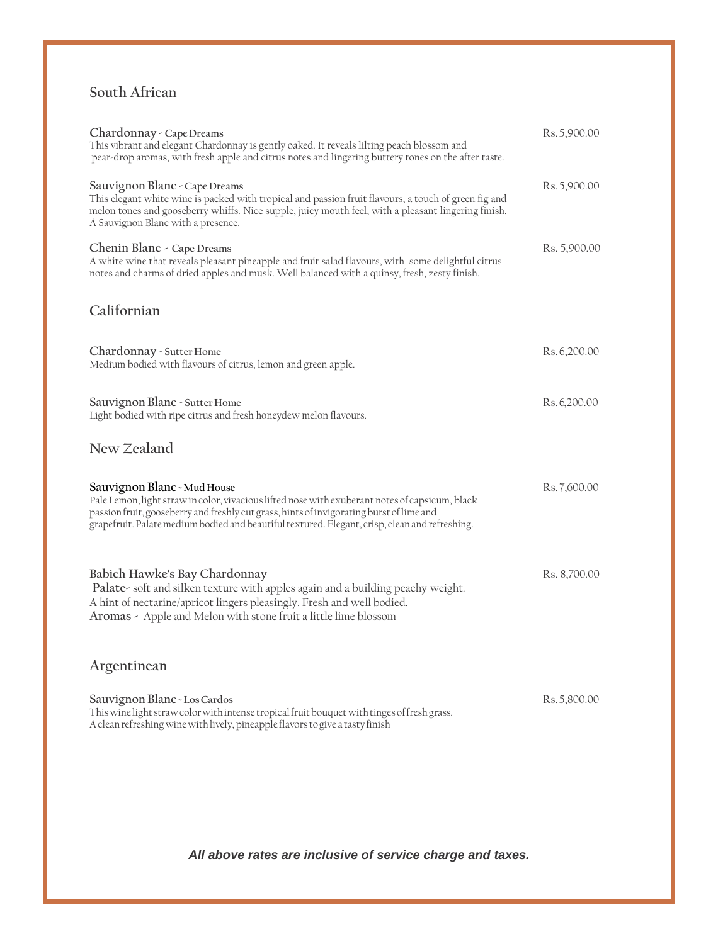#### **South African**

| Chardonnay - Cape Dreams<br>This vibrant and elegant Chardonnay is gently oaked. It reveals lilting peach blossom and<br>pear-drop aromas, with fresh apple and citrus notes and lingering buttery tones on the after taste.                                                                                                 | Rs. 5,900.00 |
|------------------------------------------------------------------------------------------------------------------------------------------------------------------------------------------------------------------------------------------------------------------------------------------------------------------------------|--------------|
| Sauvignon Blanc - Cape Dreams<br>This elegant white wine is packed with tropical and passion fruit flavours, a touch of green fig and<br>melon tones and gooseberry whiffs. Nice supple, juicy mouth feel, with a pleasant lingering finish.<br>A Sauvignon Blanc with a presence.                                           | Rs. 5,900.00 |
| Chenin Blanc - Cape Dreams<br>A white wine that reveals pleasant pineapple and fruit salad flavours, with some delightful citrus<br>notes and charms of dried apples and musk. Well balanced with a quinsy, fresh, zesty finish.                                                                                             | Rs. 5,900.00 |
| Californian                                                                                                                                                                                                                                                                                                                  |              |
| Chardonnay - Sutter Home<br>Medium bodied with flavours of citrus, lemon and green apple.                                                                                                                                                                                                                                    | Rs. 6,200.00 |
| Sauvignon Blanc - Sutter Home<br>Light bodied with ripe citrus and fresh honeydew melon flavours.                                                                                                                                                                                                                            | Rs. 6,200.00 |
| New Zealand                                                                                                                                                                                                                                                                                                                  |              |
| Sauvignon Blanc - Mud House<br>Pale Lemon, light straw in color, vivacious lifted nose with exuberant notes of capsicum, black<br>passion fruit, gooseberry and freshly cut grass, hints of invigorating burst of lime and<br>grapefruit. Palate medium bodied and beautiful textured. Elegant, crisp, clean and refreshing. | Rs.7,600.00  |
| Babich Hawke's Bay Chardonnay<br>Palate- soft and silken texture with apples again and a building peachy weight.<br>A hint of nectarine/apricot lingers pleasingly. Fresh and well bodied.<br>Aromas - Apple and Melon with stone fruit a little lime blossom                                                                | Rs. 8,700.00 |
| Argentinean                                                                                                                                                                                                                                                                                                                  |              |
| Sauvignon Blanc - Los Cardos<br>This wine light straw color with intense tropical fruit bouquet with tinges of fresh grass.<br>A clean refreshing wine with lively, pineapple flavors to give a tasty finish                                                                                                                 | Rs. 5,800.00 |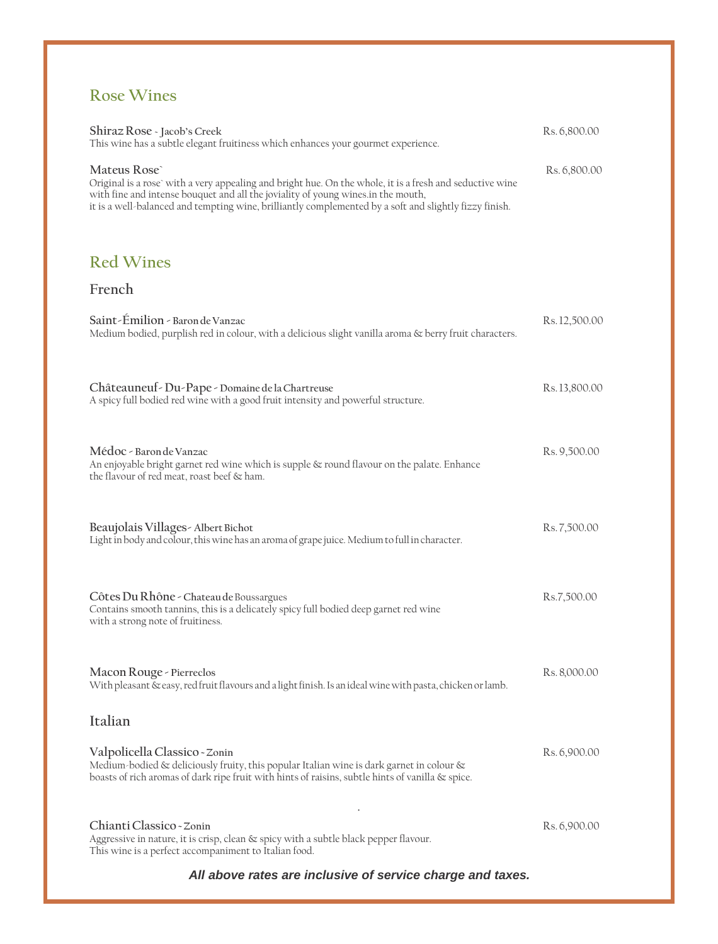## **Rose Wines**

| Shiraz Rose - Jacob's Creek<br>This wine has a subtle elegant fruitiness which enhances your gourmet experience.                                                                                                                                                                                                      | Rs. 6,800.00  |
|-----------------------------------------------------------------------------------------------------------------------------------------------------------------------------------------------------------------------------------------------------------------------------------------------------------------------|---------------|
| Mateus Rose<br>Original is a rose' with a very appealing and bright hue. On the whole, it is a fresh and seductive wine<br>with fine and intense bouquet and all the joviality of young wines in the mouth,<br>it is a well-balanced and tempting wine, brilliantly complemented by a soft and slightly fizzy finish. | Rs. 6,800.00  |
| <b>Red Wines</b>                                                                                                                                                                                                                                                                                                      |               |
| French                                                                                                                                                                                                                                                                                                                |               |
| Saint-Émilion - Baron de Vanzac<br>Medium bodied, purplish red in colour, with a delicious slight vanilla aroma & berry fruit characters.                                                                                                                                                                             | Rs. 12,500.00 |
| Châteauneuf - Du - Pape - Domaine de la Chartreuse<br>A spicy full bodied red wine with a good fruit intensity and powerful structure.                                                                                                                                                                                | Rs. 13,800.00 |
| Médoc - Baron de Vanzac<br>An enjoyable bright garnet red wine which is supple & round flavour on the palate. Enhance<br>the flavour of red meat, roast beef & ham.                                                                                                                                                   | Rs. 9,500.00  |
| Beaujolais Villages - Albert Bichot<br>Light in body and colour, this wine has an aroma of grape juice. Medium to full in character.                                                                                                                                                                                  | Rs. 7,500.00  |
| Côtes Du Rhône - Chateau de Boussargues<br>Contains smooth tannins, this is a delicately spicy full bodied deep garnet red wine<br>with a strong note of fruitiness.                                                                                                                                                  | Rs.7,500.00   |
| Macon Rouge - Pierreclos<br>With pleasant & easy, red fruit flavours and a light finish. Is an ideal wine with pasta, chicken or lamb.                                                                                                                                                                                | Rs. 8,000.00  |
| Italian                                                                                                                                                                                                                                                                                                               |               |
| Valpolicella Classico - Zonin<br>Medium-bodied & deliciously fruity, this popular Italian wine is dark garnet in colour &<br>boasts of rich aromas of dark ripe fruit with hints of raisins, subtle hints of vanilla & spice.                                                                                         | Rs. 6,900.00  |
| Chianti Classico - Zonin<br>Aggressive in nature, it is crisp, clean & spicy with a subtle black pepper flavour.<br>This wine is a perfect accompaniment to Italian food.                                                                                                                                             | Rs. 6,900.00  |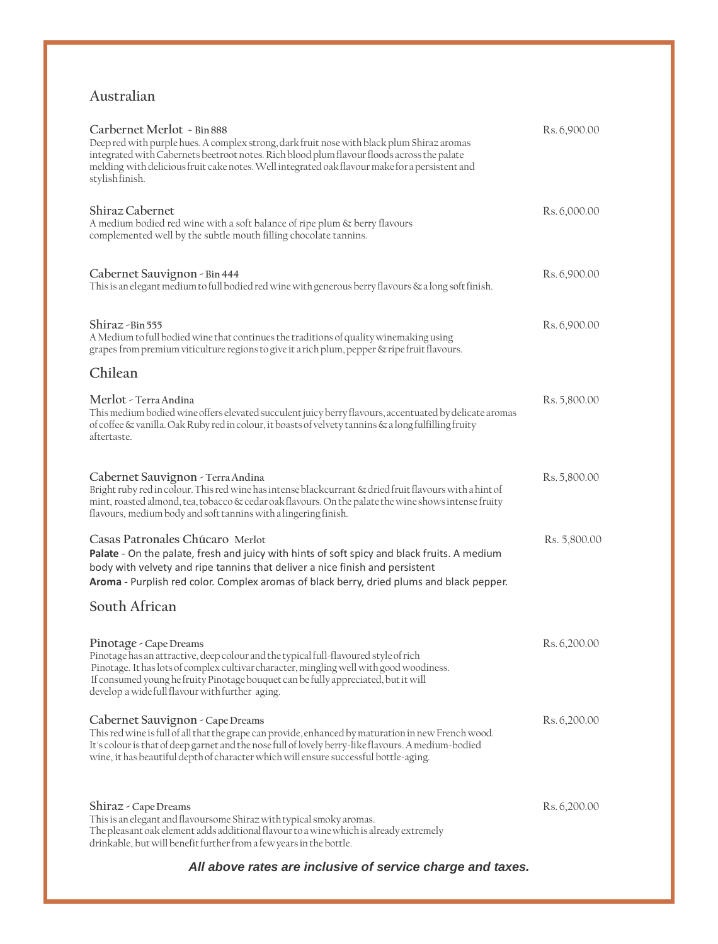#### **Australian**

| Carbernet Merlot ~ Bin 888<br>Deep red with purple hues. A complex strong, dark fruit nose with black plum Shiraz aromas<br>integrated with Cabernets beetroot notes. Rich blood plum flavour floods across the palate<br>melding with delicious fruit cake notes. Well integrated oak flavour make for a persistent and<br>stylish finish.        | Rs. 6,900.00 |
|----------------------------------------------------------------------------------------------------------------------------------------------------------------------------------------------------------------------------------------------------------------------------------------------------------------------------------------------------|--------------|
| Shiraz Cabernet<br>A medium bodied red wine with a soft balance of ripe plum & berry flavours<br>complemented well by the subtle mouth filling chocolate tannins.                                                                                                                                                                                  | Rs. 6,000.00 |
| Cabernet Sauvignon - Bin 444<br>This is an elegant medium to full bodied red wine with generous berry flavours & a long soft finish.                                                                                                                                                                                                               | Rs. 6,900.00 |
| Shiraz - Bin 555<br>A Medium to full bodied wine that continues the traditions of quality winemaking using<br>grapes from premium viticulture regions to give it a rich plum, pepper & ripe fruit flavours.                                                                                                                                        | Rs. 6,900.00 |
| Chilean                                                                                                                                                                                                                                                                                                                                            |              |
| Merlot - Terra Andina<br>This medium bodied wine offers elevated succulent juicy berry flavours, accentuated by delicate aromas<br>of coffee $\&$ vanilla. Oak Ruby red in colour, it boasts of velvety tannins $\&$ a long fulfilling fruity<br>aftertaste.                                                                                       | Rs. 5,800.00 |
| Cabernet Sauvignon - Terra Andina<br>Bright ruby red in colour. This red wine has intense blackcurrant & dried fruit flavours with a hint of<br>mint, roasted almond, tea, tobacco & cedar oak flavours. On the palate the wine shows intense fruity<br>flavours, medium body and soft tannins with a lingering finish.                            | Rs. 5,800.00 |
| Casas Patronales Chúcaro Merlot<br>Palate - On the palate, fresh and juicy with hints of soft spicy and black fruits. A medium<br>body with velvety and ripe tannins that deliver a nice finish and persistent<br>Aroma - Purplish red color. Complex aromas of black berry, dried plums and black pepper.                                         | Rs. 5,800.00 |
| South African                                                                                                                                                                                                                                                                                                                                      |              |
| Pinotage - Cape Dreams<br>Pinotage has an attractive, deep colour and the typical full-flavoured style of rich<br>Pinotage. It has lots of complex cultivar character, mingling well with good woodiness.<br>If consumed young he fruity Pinotage bouquet can be fully appreciated, but it will<br>develop a wide full flavour with further aging. | Rs. 6,200.00 |
| Cabernet Sauvignon - Cape Dreams<br>This red wine is full of all that the grape can provide, enhanced by maturation in new French wood.<br>It's colour is that of deep garnet and the nose full of lovely berry-like flavours. A medium-bodied<br>wine, it has beautiful depth of character which will ensure successful bottle-aging.             | Rs. 6,200.00 |
| Shiraz - Cape Dreams<br>This is an elegant and flavoursome Shiraz with typical smoky aromas.<br>The pleasant oak element adds additional flavour to a wine which is already extremely<br>drinkable, but will benefit further from a few years in the bottle.                                                                                       | Rs. 6,200.00 |